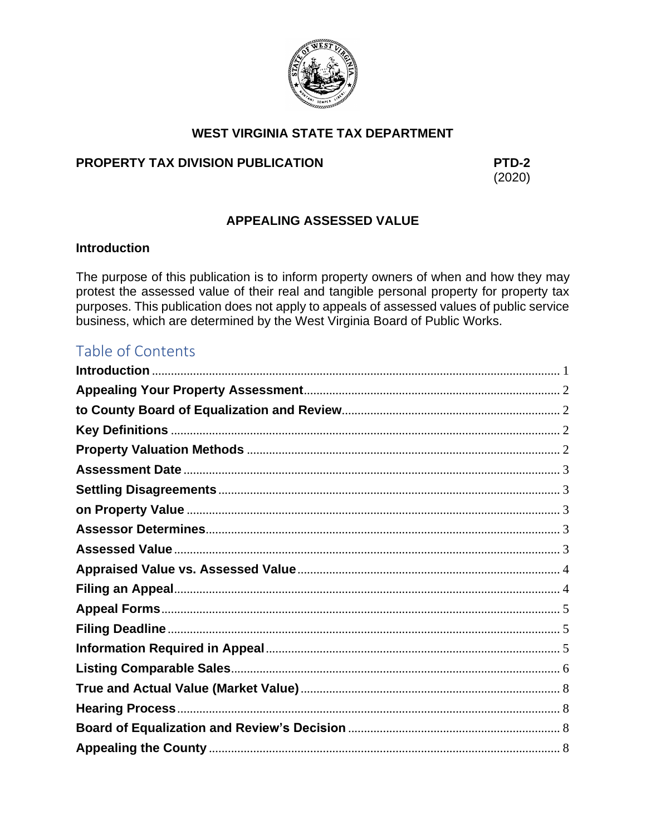

# **WEST VIRGINIA STATE TAX DEPARTMENT**

## PROPERTY TAX DIVISION PUBLICATION

PTD-2  $(2020)$ 

## **APPEALING ASSESSED VALUE**

## <span id="page-0-0"></span>**Introduction**

The purpose of this publication is to inform property owners of when and how they may protest the assessed value of their real and tangible personal property for property tax purposes. This publication does not apply to appeals of assessed values of public service business, which are determined by the West Virginia Board of Public Works.

# Table of Contents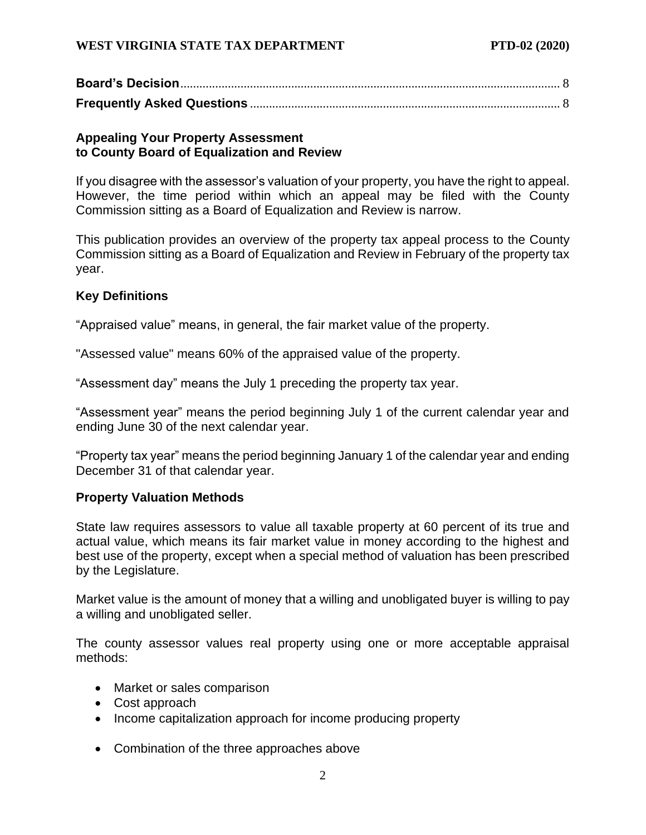## <span id="page-1-1"></span><span id="page-1-0"></span>**Appealing Your Property Assessment to County Board of Equalization and Review**

If you disagree with the assessor's valuation of your property, you have the right to appeal. However, the time period within which an appeal may be filed with the County Commission sitting as a Board of Equalization and Review is narrow.

This publication provides an overview of the property tax appeal process to the County Commission sitting as a Board of Equalization and Review in February of the property tax year.

## <span id="page-1-2"></span>**Key Definitions**

"Appraised value" means, in general, the fair market value of the property.

"Assessed value" means 60% of the appraised value of the property.

"Assessment day" means the July 1 preceding the property tax year.

"Assessment year" means the period beginning July 1 of the current calendar year and ending June 30 of the next calendar year.

"Property tax year" means the period beginning January 1 of the calendar year and ending December 31 of that calendar year.

## <span id="page-1-3"></span>**Property Valuation Methods**

State law requires assessors to value all taxable property at 60 percent of its true and actual value, which means its fair market value in money according to the highest and best use of the property, except when a special method of valuation has been prescribed by the Legislature.

Market value is the amount of money that a willing and unobligated buyer is willing to pay a willing and unobligated seller.

The county assessor values real property using one or more acceptable appraisal methods:

- Market or sales comparison
- Cost approach
- Income capitalization approach for income producing property
- Combination of the three approaches above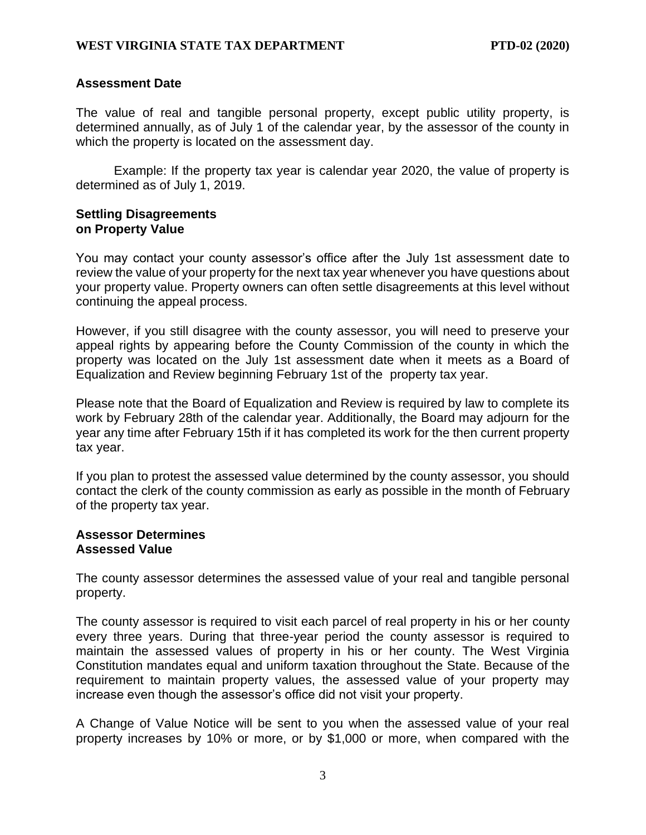#### <span id="page-2-0"></span>**Assessment Date**

The value of real and tangible personal property, except public utility property, is determined annually, as of July 1 of the calendar year, by the assessor of the county in which the property is located on the assessment day.

Example: If the property tax year is calendar year 2020, the value of property is determined as of July 1, 2019.

#### <span id="page-2-2"></span><span id="page-2-1"></span>**Settling Disagreements on Property Value**

You may contact your county assessor's office after the July 1st assessment date to review the value of your property for the next tax year whenever you have questions about your property value. Property owners can often settle disagreements at this level without continuing the appeal process.

However, if you still disagree with the county assessor, you will need to preserve your appeal rights by appearing before the County Commission of the county in which the property was located on the July 1st assessment date when it meets as a Board of Equalization and Review beginning February 1st of the property tax year.

Please note that the Board of Equalization and Review is required by law to complete its work by February 28th of the calendar year. Additionally, the Board may adjourn for the year any time after February 15th if it has completed its work for the then current property tax year.

If you plan to protest the assessed value determined by the county assessor, you should contact the clerk of the county commission as early as possible in the month of February of the property tax year.

#### <span id="page-2-4"></span><span id="page-2-3"></span>**Assessor Determines Assessed Value**

The county assessor determines the assessed value of your real and tangible personal property.

The county assessor is required to visit each parcel of real property in his or her county every three years. During that three-year period the county assessor is required to maintain the assessed values of property in his or her county. The West Virginia Constitution mandates equal and uniform taxation throughout the State. Because of the requirement to maintain property values, the assessed value of your property may increase even though the assessor's office did not visit your property.

A Change of Value Notice will be sent to you when the assessed value of your real property increases by 10% or more, or by \$1,000 or more, when compared with the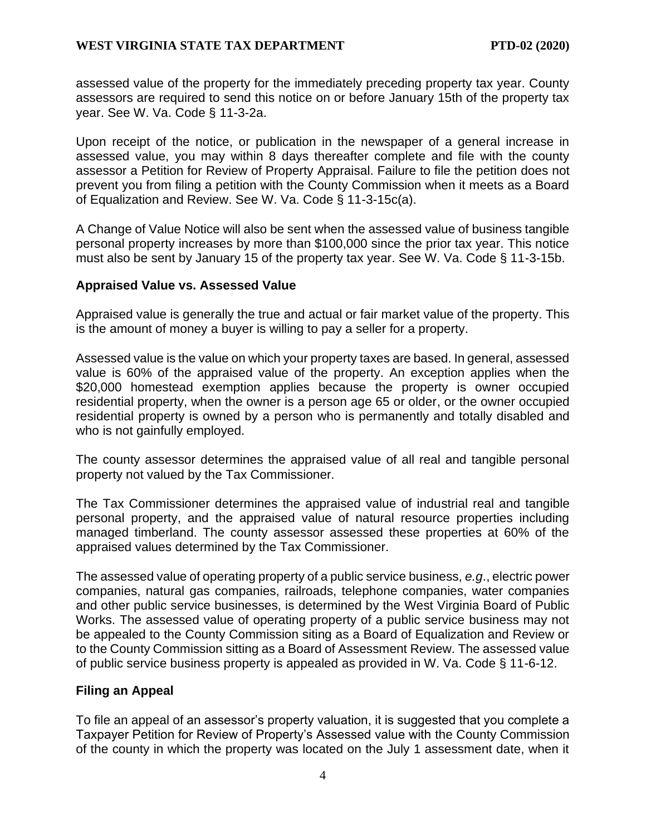assessed value of the property for the immediately preceding property tax year. County assessors are required to send this notice on or before January 15th of the property tax year. See W. Va. Code § 11-3-2a.

Upon receipt of the notice, or publication in the newspaper of a general increase in assessed value, you may within 8 days thereafter complete and file with the county assessor a Petition for Review of Property Appraisal. Failure to file the petition does not prevent you from filing a petition with the County Commission when it meets as a Board of Equalization and Review. See W. Va. Code § 11-3-15c(a).

A Change of Value Notice will also be sent when the assessed value of business tangible personal property increases by more than \$100,000 since the prior tax year. This notice must also be sent by January 15 of the property tax year. See W. Va. Code § 11-3-15b.

#### <span id="page-3-0"></span>**Appraised Value vs. Assessed Value**

Appraised value is generally the true and actual or fair market value of the property. This is the amount of money a buyer is willing to pay a seller for a property.

Assessed value is the value on which your property taxes are based. In general, assessed value is 60% of the appraised value of the property. An exception applies when the \$20,000 homestead exemption applies because the property is owner occupied residential property, when the owner is a person age 65 or older, or the owner occupied residential property is owned by a person who is permanently and totally disabled and who is not gainfully employed.

The county assessor determines the appraised value of all real and tangible personal property not valued by the Tax Commissioner.

The Tax Commissioner determines the appraised value of industrial real and tangible personal property, and the appraised value of natural resource properties including managed timberland. The county assessor assessed these properties at 60% of the appraised values determined by the Tax Commissioner.

The assessed value of operating property of a public service business, *e.g*., electric power companies, natural gas companies, railroads, telephone companies, water companies and other public service businesses, is determined by the West Virginia Board of Public Works. The assessed value of operating property of a public service business may not be appealed to the County Commission siting as a Board of Equalization and Review or to the County Commission sitting as a Board of Assessment Review. The assessed value of public service business property is appealed as provided in W. Va. Code § 11-6-12.

#### <span id="page-3-1"></span>**Filing an Appeal**

To file an appeal of an assessor's property valuation, it is suggested that you complete a Taxpayer Petition for Review of Property's Assessed value with the County Commission of the county in which the property was located on the July 1 assessment date, when it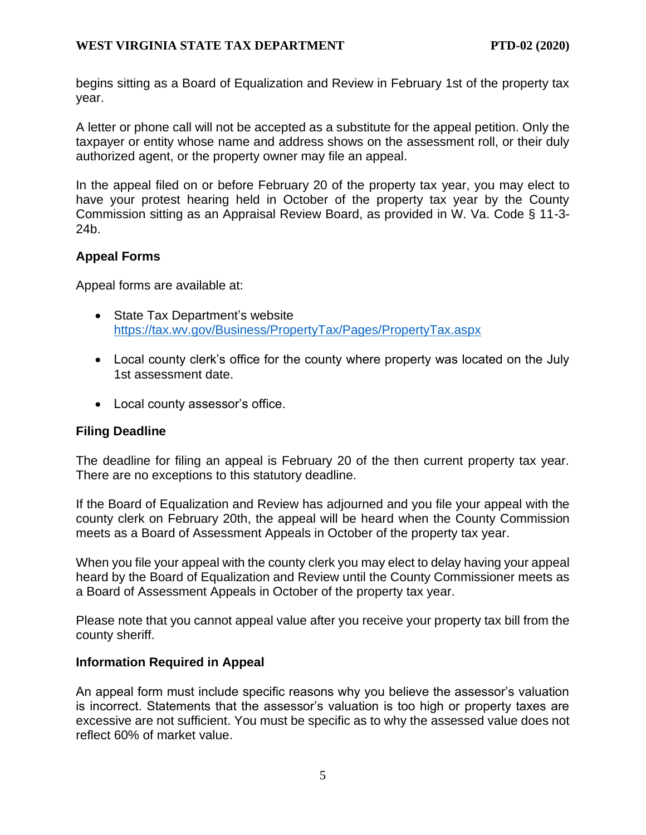begins sitting as a Board of Equalization and Review in February 1st of the property tax year.

A letter or phone call will not be accepted as a substitute for the appeal petition. Only the taxpayer or entity whose name and address shows on the assessment roll, or their duly authorized agent, or the property owner may file an appeal.

In the appeal filed on or before February 20 of the property tax year, you may elect to have your protest hearing held in October of the property tax year by the County Commission sitting as an Appraisal Review Board, as provided in W. Va. Code § 11-3- 24b.

## <span id="page-4-0"></span>**Appeal Forms**

Appeal forms are available at:

- State Tax Department's website <https://tax.wv.gov/Business/PropertyTax/Pages/PropertyTax.aspx>
- Local county clerk's office for the county where property was located on the July 1st assessment date.
- Local county assessor's office.

## <span id="page-4-1"></span>**Filing Deadline**

The deadline for filing an appeal is February 20 of the then current property tax year. There are no exceptions to this statutory deadline.

If the Board of Equalization and Review has adjourned and you file your appeal with the county clerk on February 20th, the appeal will be heard when the County Commission meets as a Board of Assessment Appeals in October of the property tax year.

When you file your appeal with the county clerk you may elect to delay having your appeal heard by the Board of Equalization and Review until the County Commissioner meets as a Board of Assessment Appeals in October of the property tax year.

Please note that you cannot appeal value after you receive your property tax bill from the county sheriff.

## <span id="page-4-2"></span>**Information Required in Appeal**

An appeal form must include specific reasons why you believe the assessor's valuation is incorrect. Statements that the assessor's valuation is too high or property taxes are excessive are not sufficient. You must be specific as to why the assessed value does not reflect 60% of market value.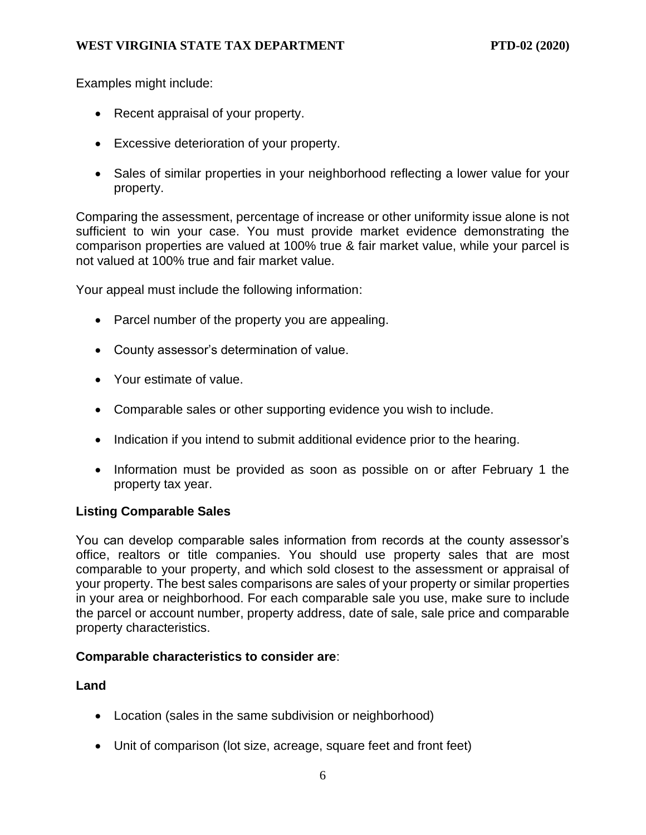Examples might include:

- Recent appraisal of your property.
- Excessive deterioration of your property.
- Sales of similar properties in your neighborhood reflecting a lower value for your property.

Comparing the assessment, percentage of increase or other uniformity issue alone is not sufficient to win your case. You must provide market evidence demonstrating the comparison properties are valued at 100% true & fair market value, while your parcel is not valued at 100% true and fair market value.

Your appeal must include the following information:

- Parcel number of the property you are appealing.
- County assessor's determination of value.
- Your estimate of value.
- Comparable sales or other supporting evidence you wish to include.
- Indication if you intend to submit additional evidence prior to the hearing.
- Information must be provided as soon as possible on or after February 1 the property tax year.

## <span id="page-5-0"></span>**Listing Comparable Sales**

You can develop comparable sales information from records at the county assessor's office, realtors or title companies. You should use property sales that are most comparable to your property, and which sold closest to the assessment or appraisal of your property. The best sales comparisons are sales of your property or similar properties in your area or neighborhood. For each comparable sale you use, make sure to include the parcel or account number, property address, date of sale, sale price and comparable property characteristics.

## **Comparable characteristics to consider are**:

## **Land**

- Location (sales in the same subdivision or neighborhood)
- Unit of comparison (lot size, acreage, square feet and front feet)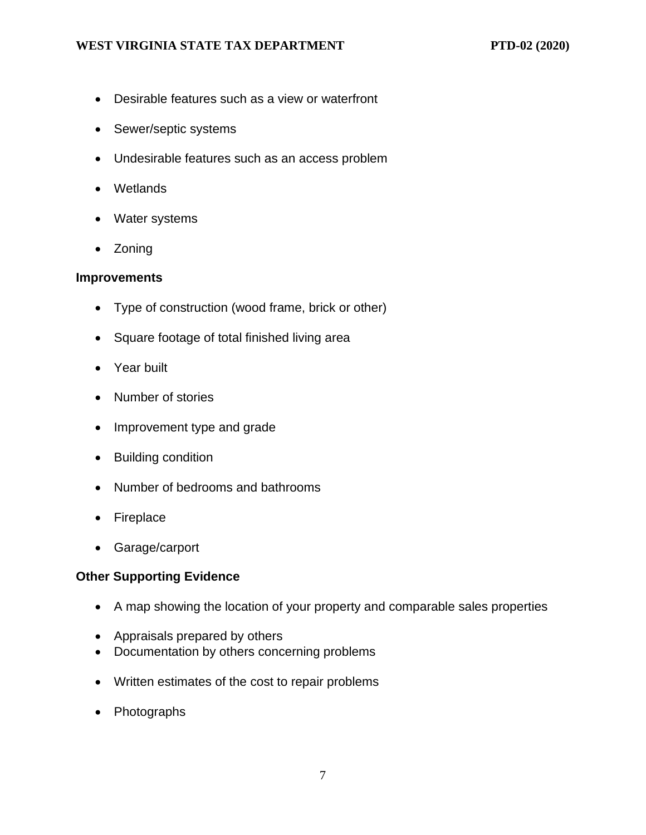- Desirable features such as a view or waterfront
- Sewer/septic systems
- Undesirable features such as an access problem
- Wetlands
- Water systems
- Zoning

#### **Improvements**

- Type of construction (wood frame, brick or other)
- Square footage of total finished living area
- Year built
- Number of stories
- Improvement type and grade
- Building condition
- Number of bedrooms and bathrooms
- Fireplace
- Garage/carport

#### **Other Supporting Evidence**

- A map showing the location of your property and comparable sales properties
- Appraisals prepared by others
- Documentation by others concerning problems
- Written estimates of the cost to repair problems
- Photographs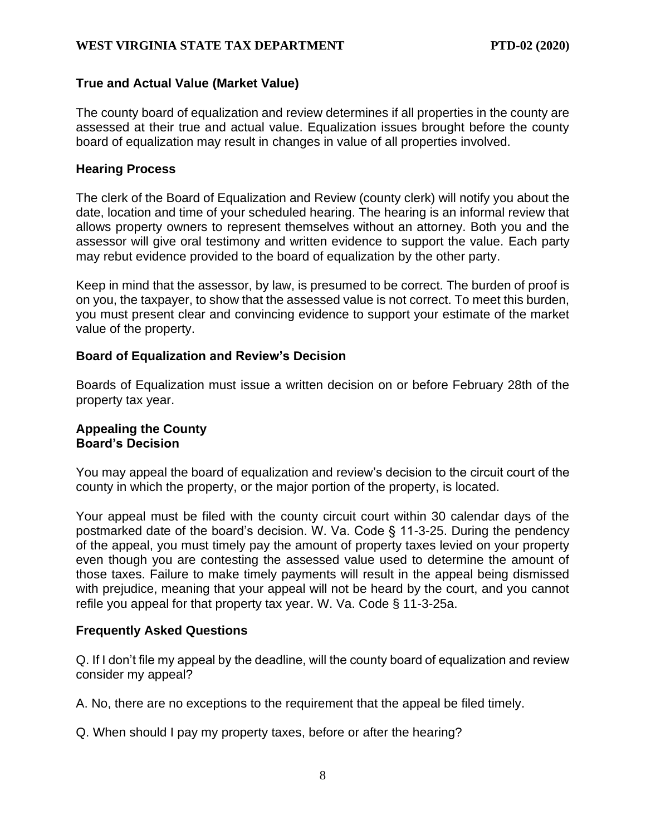#### <span id="page-7-0"></span>**True and Actual Value (Market Value)**

The county board of equalization and review determines if all properties in the county are assessed at their true and actual value. Equalization issues brought before the county board of equalization may result in changes in value of all properties involved.

#### <span id="page-7-1"></span>**Hearing Process**

The clerk of the Board of Equalization and Review (county clerk) will notify you about the date, location and time of your scheduled hearing. The hearing is an informal review that allows property owners to represent themselves without an attorney. Both you and the assessor will give oral testimony and written evidence to support the value. Each party may rebut evidence provided to the board of equalization by the other party.

Keep in mind that the assessor, by law, is presumed to be correct. The burden of proof is on you, the taxpayer, to show that the assessed value is not correct. To meet this burden, you must present clear and convincing evidence to support your estimate of the market value of the property.

#### <span id="page-7-2"></span>**Board of Equalization and Review's Decision**

Boards of Equalization must issue a written decision on or before February 28th of the property tax year.

#### <span id="page-7-4"></span><span id="page-7-3"></span>**Appealing the County Board's Decision**

You may appeal the board of equalization and review's decision to the circuit court of the county in which the property, or the major portion of the property, is located.

Your appeal must be filed with the county circuit court within 30 calendar days of the postmarked date of the board's decision. W. Va. Code § 11-3-25. During the pendency of the appeal, you must timely pay the amount of property taxes levied on your property even though you are contesting the assessed value used to determine the amount of those taxes. Failure to make timely payments will result in the appeal being dismissed with prejudice, meaning that your appeal will not be heard by the court, and you cannot refile you appeal for that property tax year. W. Va. Code § 11-3-25a.

#### <span id="page-7-5"></span>**Frequently Asked Questions**

Q. If I don't file my appeal by the deadline, will the county board of equalization and review consider my appeal?

A. No, there are no exceptions to the requirement that the appeal be filed timely.

Q. When should I pay my property taxes, before or after the hearing?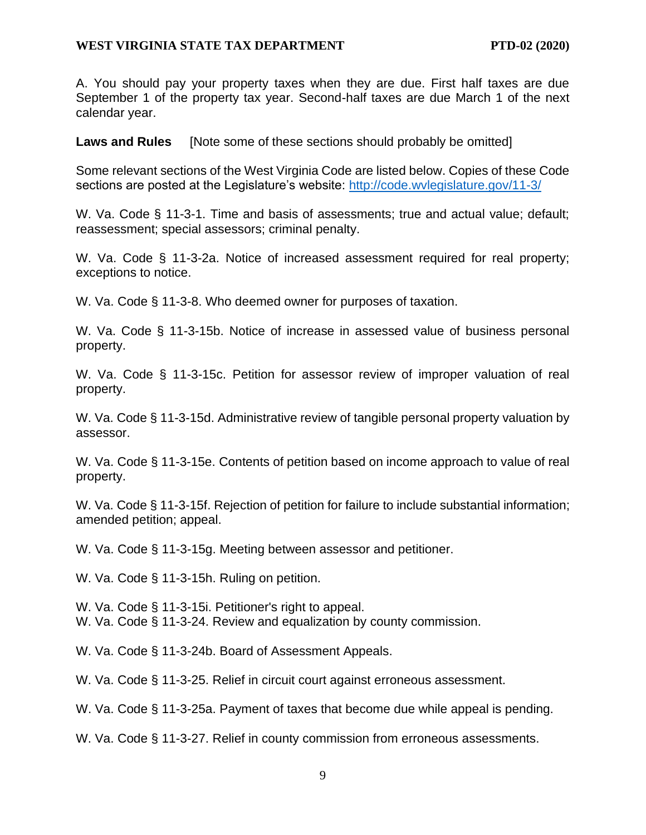A. You should pay your property taxes when they are due. First half taxes are due September 1 of the property tax year. Second-half taxes are due March 1 of the next calendar year.

**Laws and Rules** [Note some of these sections should probably be omitted]

Some relevant sections of the West Virginia Code are listed below. Copies of these Code sections are posted at the Legislature's website:<http://code.wvlegislature.gov/11-3/>

W. Va. Code § 11-3-1. Time and basis of assessments; true and actual value; default; reassessment; special assessors; criminal penalty.

W. Va. Code § 11-3-2a. Notice of increased assessment required for real property; exceptions to notice.

W. Va. Code § 11-3-8. Who deemed owner for purposes of taxation.

W. Va. Code § 11-3-15b. Notice of increase in assessed value of business personal property.

W. Va. Code § 11-3-15c. Petition for assessor review of improper valuation of real property.

W. Va. Code § 11-3-15d. Administrative review of tangible personal property valuation by assessor.

W. Va. Code § 11-3-15e. Contents of petition based on income approach to value of real property.

W. Va. Code § 11-3-15f. Rejection of petition for failure to include substantial information; amended petition; appeal.

W. Va. Code § 11-3-15g. Meeting between assessor and petitioner.

W. Va. Code § 11-3-15h. Ruling on petition.

W. Va. Code § 11-3-15i. Petitioner's right to appeal.

W. Va. Code § 11-3-24. Review and equalization by county commission.

W. Va. Code § 11-3-24b. Board of Assessment Appeals.

W. Va. Code § 11-3-25. Relief in circuit court against erroneous assessment.

W. Va. Code § 11-3-25a. Payment of taxes that become due while appeal is pending.

W. Va. Code § 11-3-27. Relief in county commission from erroneous assessments.